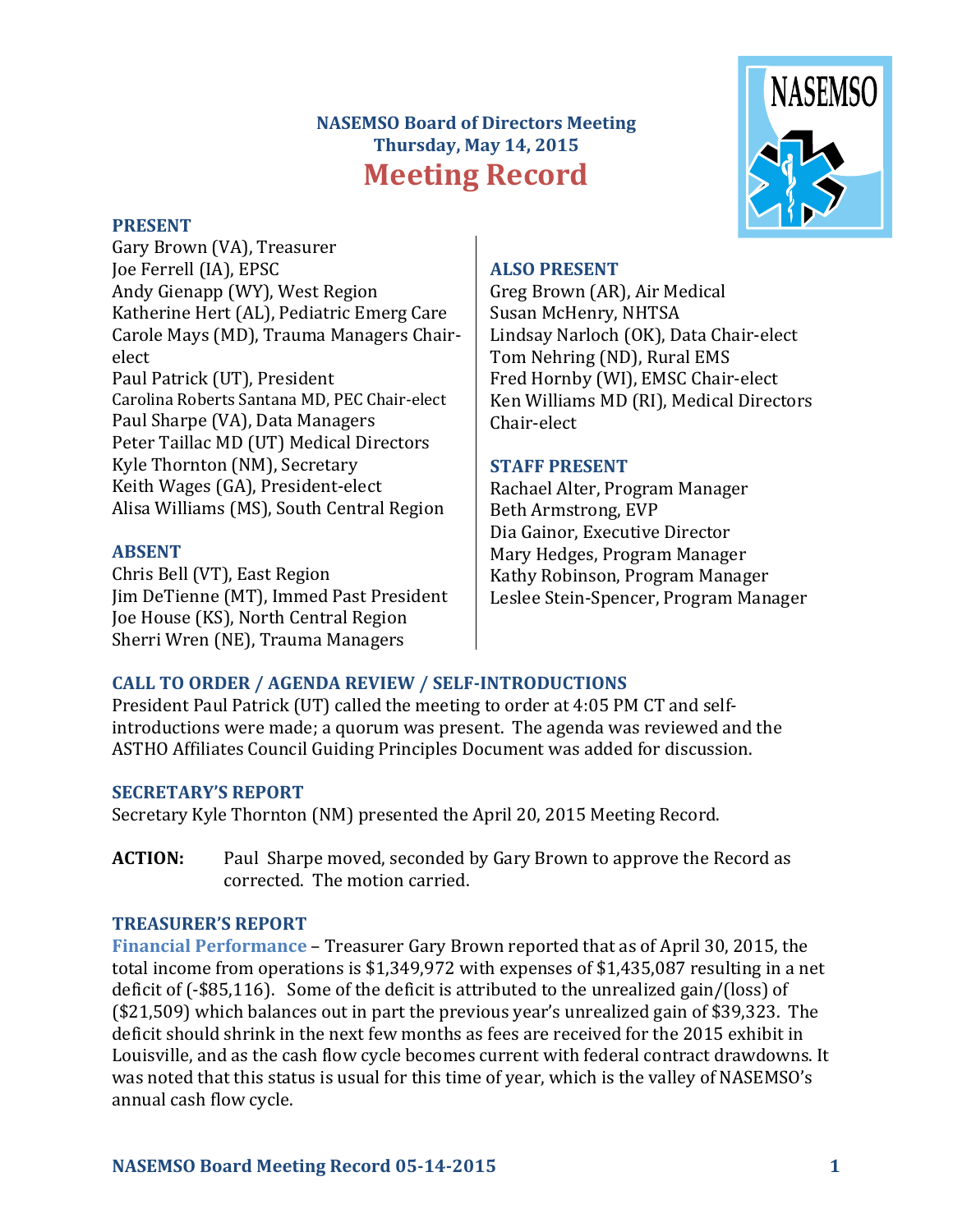# **NASEMSO Board of Directors Meeting Thursday, May 14, 2015 Meeting Record**

#### **PRESENT**

Gary Brown (VA), Treasurer Joe Ferrell (IA), EPSC Andy Gienapp (WY), West Region Katherine Hert (AL), Pediatric Emerg Care Carole Mays (MD), Trauma Managers Chairelect Paul Patrick (UT), President Carolina Roberts Santana MD, PEC Chair-elect Paul Sharpe (VA), Data Managers Peter Taillac MD (UT) Medical Directors Kyle Thornton (NM), Secretary Keith Wages (GA), President-elect Alisa Williams (MS), South Central Region

#### **ABSENT**

Chris Bell (VT), East Region Jim DeTienne (MT), Immed Past President Joe House (KS), North Central Region Sherri Wren (NE), Trauma Managers

# **NASEMSO**

#### **ALSO PRESENT**

Greg Brown (AR), Air Medical Susan McHenry, NHTSA Lindsay Narloch (OK), Data Chair-elect Tom Nehring (ND), Rural EMS Fred Hornby (WI), EMSC Chair-elect Ken Williams MD (RI), Medical Directors Chair-elect

#### **STAFF PRESENT**

Rachael Alter, Program Manager Beth Armstrong, EVP Dia Gainor, Executive Director Mary Hedges, Program Manager Kathy Robinson, Program Manager Leslee Stein-Spencer, Program Manager

# **CALL TO ORDER / AGENDA REVIEW / SELF-INTRODUCTIONS**

President Paul Patrick (UT) called the meeting to order at 4:05 PM CT and selfintroductions were made; a quorum was present. The agenda was reviewed and the ASTHO Affiliates Council Guiding Principles Document was added for discussion.

#### **SECRETARY'S REPORT**

Secretary Kyle Thornton (NM) presented the April 20, 2015 Meeting Record.

**ACTION:** Paul Sharpe moved, seconded by Gary Brown to approve the Record as corrected. The motion carried.

#### **TREASURER'S REPORT**

**Financial Performance** – Treasurer Gary Brown reported that as of April 30, 2015, the total income from operations is \$1,349,972 with expenses of \$1,435,087 resulting in a net deficit of (-\$85,116). Some of the deficit is attributed to the unrealized gain/(loss) of (\$21,509) which balances out in part the previous year's unrealized gain of \$39,323. The deficit should shrink in the next few months as fees are received for the 2015 exhibit in Louisville, and as the cash flow cycle becomes current with federal contract drawdowns. It was noted that this status is usual for this time of year, which is the valley of NASEMSO's annual cash flow cycle.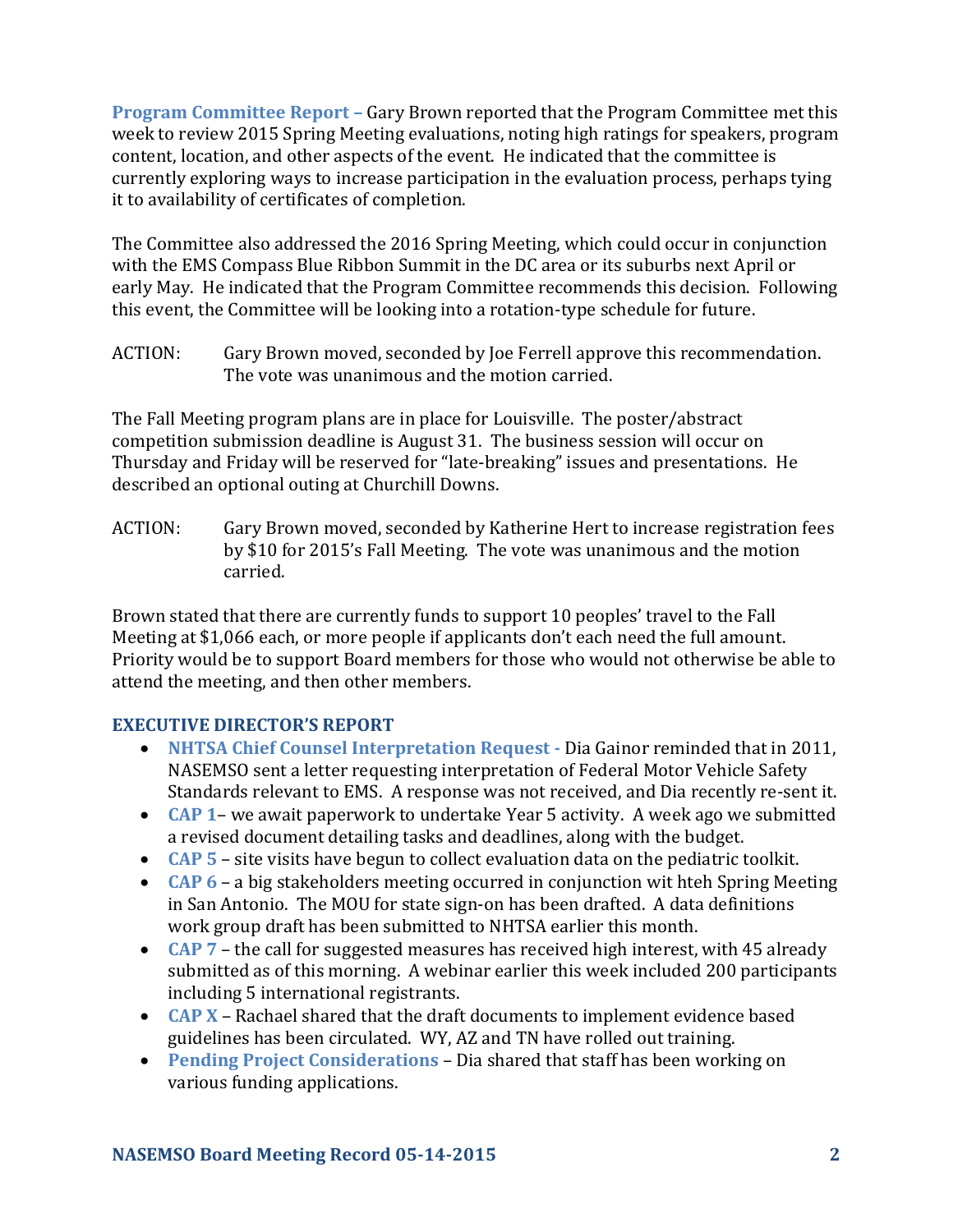**Program Committee Report –** Gary Brown reported that the Program Committee met this week to review 2015 Spring Meeting evaluations, noting high ratings for speakers, program content, location, and other aspects of the event. He indicated that the committee is currently exploring ways to increase participation in the evaluation process, perhaps tying it to availability of certificates of completion.

The Committee also addressed the 2016 Spring Meeting, which could occur in conjunction with the EMS Compass Blue Ribbon Summit in the DC area or its suburbs next April or early May. He indicated that the Program Committee recommends this decision. Following this event, the Committee will be looking into a rotation-type schedule for future.

ACTION: Gary Brown moved, seconded by Joe Ferrell approve this recommendation. The vote was unanimous and the motion carried.

The Fall Meeting program plans are in place for Louisville. The poster/abstract competition submission deadline is August 31. The business session will occur on Thursday and Friday will be reserved for "late-breaking" issues and presentations. He described an optional outing at Churchill Downs.

ACTION: Gary Brown moved, seconded by Katherine Hert to increase registration fees by \$10 for 2015's Fall Meeting. The vote was unanimous and the motion carried.

Brown stated that there are currently funds to support 10 peoples' travel to the Fall Meeting at \$1,066 each, or more people if applicants don't each need the full amount. Priority would be to support Board members for those who would not otherwise be able to attend the meeting, and then other members.

# **EXECUTIVE DIRECTOR'S REPORT**

- **NHTSA Chief Counsel Interpretation Request -** Dia Gainor reminded that in 2011, NASEMSO sent a letter requesting interpretation of Federal Motor Vehicle Safety Standards relevant to EMS. A response was not received, and Dia recently re-sent it.
- **CAP 1** we await paperwork to undertake Year 5 activity. A week ago we submitted a revised document detailing tasks and deadlines, along with the budget.
- **CAP 5**  site visits have begun to collect evaluation data on the pediatric toolkit.
- **CAP 6**  a big stakeholders meeting occurred in conjunction wit hteh Spring Meeting in San Antonio. The MOU for state sign-on has been drafted. A data definitions work group draft has been submitted to NHTSA earlier this month.
- **CAP 7**  the call for suggested measures has received high interest, with 45 already submitted as of this morning. A webinar earlier this week included 200 participants including 5 international registrants.
- **CAP X** Rachael shared that the draft documents to implement evidence based guidelines has been circulated. WY, AZ and TN have rolled out training.
- **Pending Project Considerations**  Dia shared that staff has been working on various funding applications.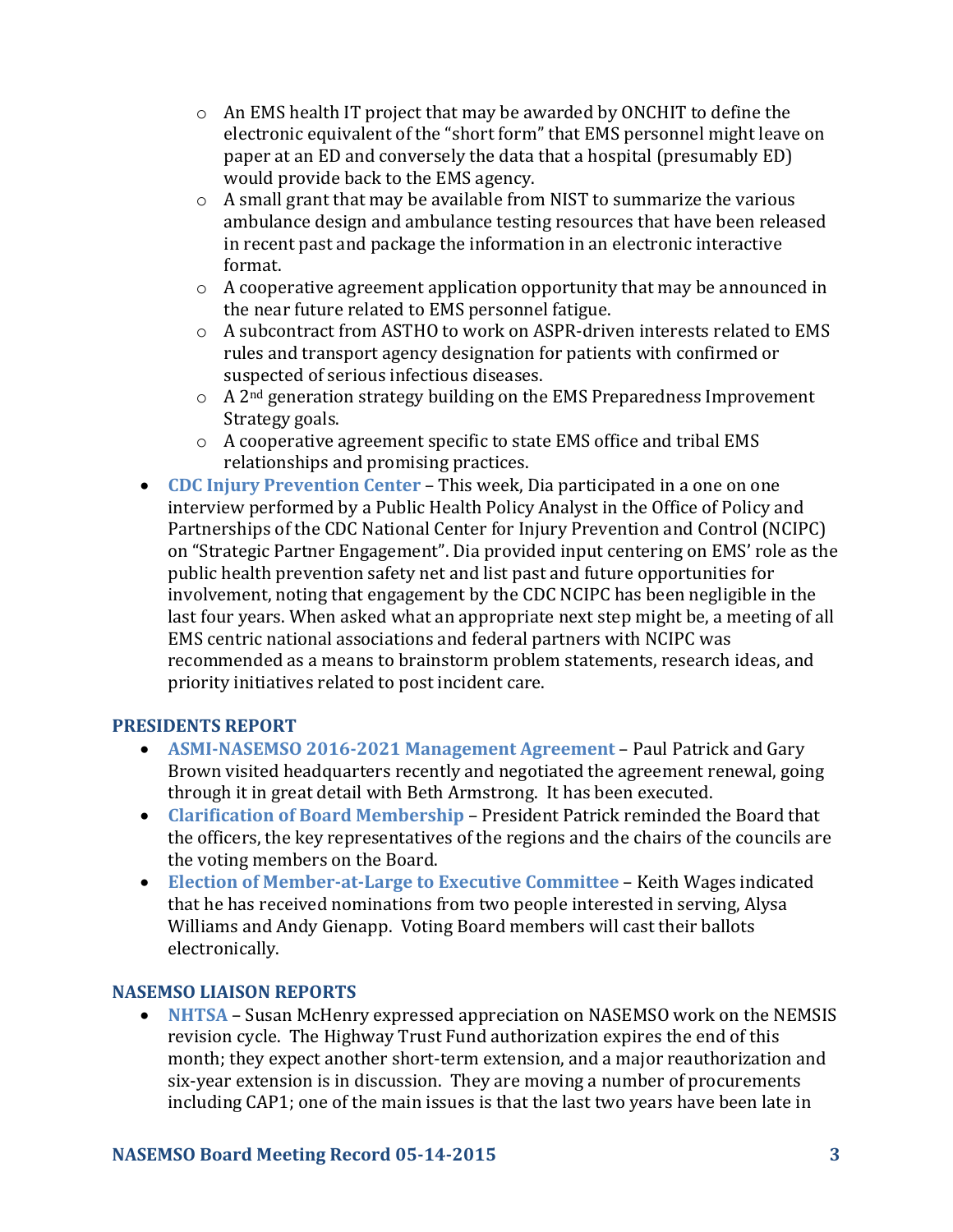- $\circ$  An EMS health IT project that may be awarded by ONCHIT to define the electronic equivalent of the "short form" that EMS personnel might leave on paper at an ED and conversely the data that a hospital (presumably ED) would provide back to the EMS agency.
- o A small grant that may be available from NIST to summarize the various ambulance design and ambulance testing resources that have been released in recent past and package the information in an electronic interactive format.
- $\circ$  A cooperative agreement application opportunity that may be announced in the near future related to EMS personnel fatigue.
- o A subcontract from ASTHO to work on ASPR-driven interests related to EMS rules and transport agency designation for patients with confirmed or suspected of serious infectious diseases.
- $\circ$  A 2<sup>nd</sup> generation strategy building on the EMS Preparedness Improvement Strategy goals.
- o A cooperative agreement specific to state EMS office and tribal EMS relationships and promising practices.
- **CDC Injury Prevention Center**  This week, Dia participated in a one on one interview performed by a Public Health Policy Analyst in the Office of Policy and Partnerships of the CDC National Center for Injury Prevention and Control (NCIPC) on "Strategic Partner Engagement". Dia provided input centering on EMS' role as the public health prevention safety net and list past and future opportunities for involvement, noting that engagement by the CDC NCIPC has been negligible in the last four years. When asked what an appropriate next step might be, a meeting of all EMS centric national associations and federal partners with NCIPC was recommended as a means to brainstorm problem statements, research ideas, and priority initiatives related to post incident care.

#### **PRESIDENTS REPORT**

- **ASMI-NASEMSO 2016-2021 Management Agreement**  Paul Patrick and Gary Brown visited headquarters recently and negotiated the agreement renewal, going through it in great detail with Beth Armstrong. It has been executed.
- **Clarification of Board Membership**  President Patrick reminded the Board that the officers, the key representatives of the regions and the chairs of the councils are the voting members on the Board.
- **Election of Member-at-Large to Executive Committee** Keith Wages indicated that he has received nominations from two people interested in serving, Alysa Williams and Andy Gienapp. Voting Board members will cast their ballots electronically.

# **NASEMSO LIAISON REPORTS**

 **NHTSA** – Susan McHenry expressed appreciation on NASEMSO work on the NEMSIS revision cycle. The Highway Trust Fund authorization expires the end of this month; they expect another short-term extension, and a major reauthorization and six-year extension is in discussion. They are moving a number of procurements including CAP1; one of the main issues is that the last two years have been late in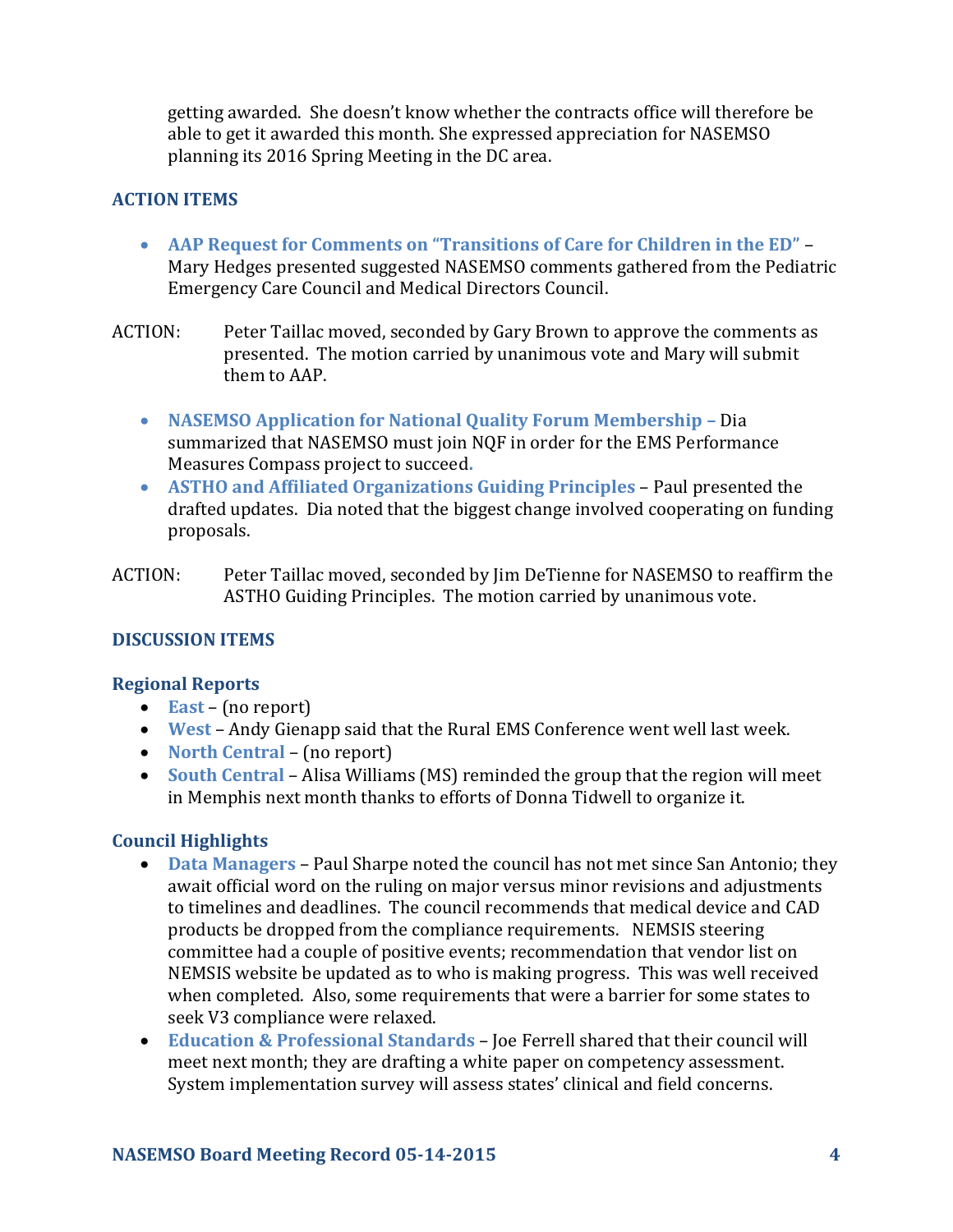getting awarded. She doesn't know whether the contracts office will therefore be able to get it awarded this month. She expressed appreciation for NASEMSO planning its 2016 Spring Meeting in the DC area.

### **ACTION ITEMS**

- **AAP Request for Comments on "Transitions of Care for Children in the ED"** Mary Hedges presented suggested NASEMSO comments gathered from the Pediatric Emergency Care Council and Medical Directors Council.
- ACTION: Peter Taillac moved, seconded by Gary Brown to approve the comments as presented. The motion carried by unanimous vote and Mary will submit them to AAP.
	- **NASEMSO Application for National Quality Forum Membership –** Dia summarized that NASEMSO must join NQF in order for the EMS Performance Measures Compass project to succeed**.**
	- **ASTHO and Affiliated Organizations Guiding Principles**  Paul presented the drafted updates. Dia noted that the biggest change involved cooperating on funding proposals.
- ACTION: Peter Taillac moved, seconded by Jim DeTienne for NASEMSO to reaffirm the ASTHO Guiding Principles. The motion carried by unanimous vote.

#### **DISCUSSION ITEMS**

#### **Regional Reports**

- **East** (no report)
- **West** Andy Gienapp said that the Rural EMS Conference went well last week.
- **North Central** (no report)
- **South Central** Alisa Williams (MS) reminded the group that the region will meet in Memphis next month thanks to efforts of Donna Tidwell to organize it.

# **Council Highlights**

- **Data Managers** Paul Sharpe noted the council has not met since San Antonio; they await official word on the ruling on major versus minor revisions and adjustments to timelines and deadlines. The council recommends that medical device and CAD products be dropped from the compliance requirements. NEMSIS steering committee had a couple of positive events; recommendation that vendor list on NEMSIS website be updated as to who is making progress. This was well received when completed. Also, some requirements that were a barrier for some states to seek V3 compliance were relaxed.
- **Education & Professional Standards** Joe Ferrell shared that their council will meet next month; they are drafting a white paper on competency assessment. System implementation survey will assess states' clinical and field concerns.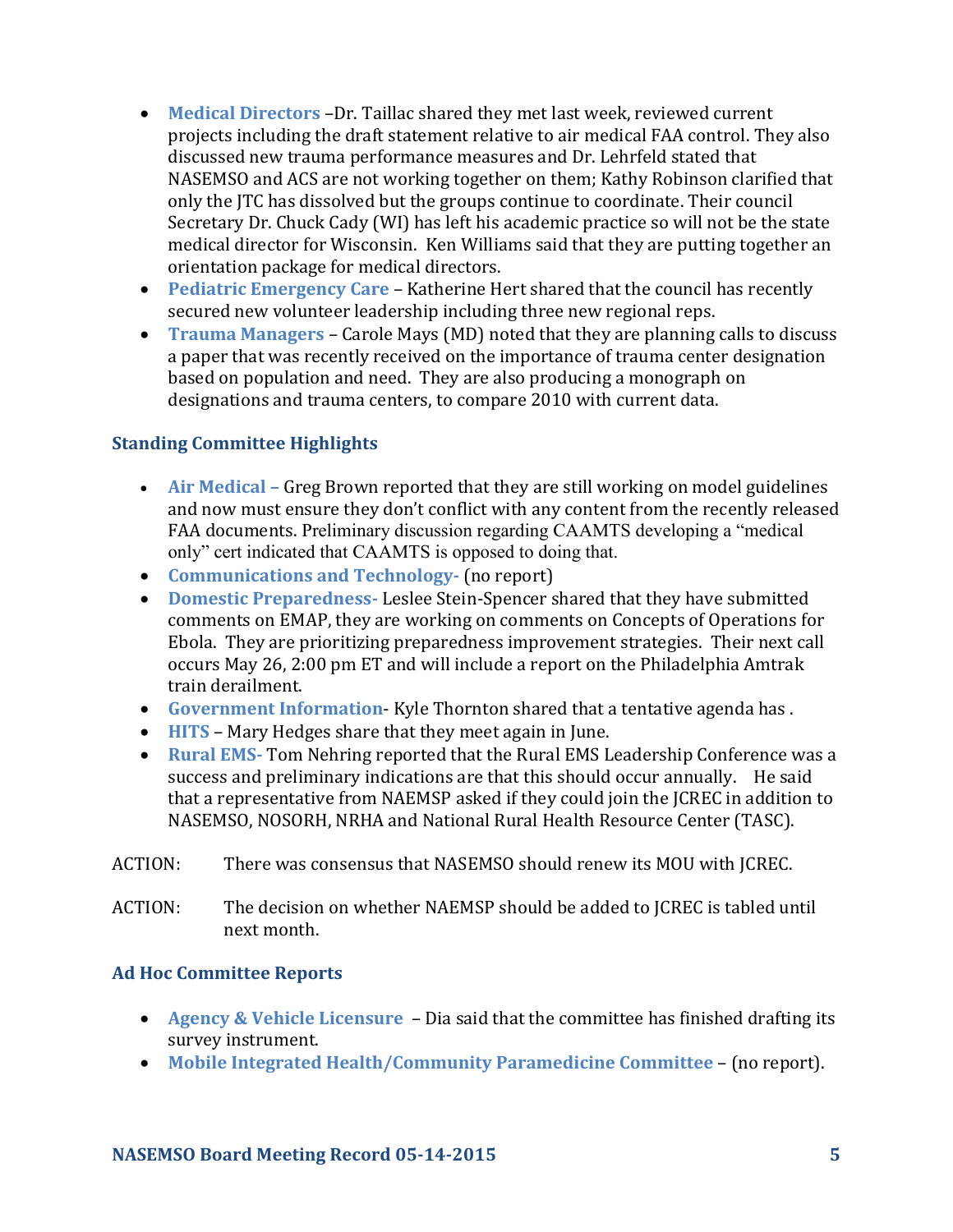- **Medical Directors** –Dr. Taillac shared they met last week, reviewed current projects including the draft statement relative to air medical FAA control. They also discussed new trauma performance measures and Dr. Lehrfeld stated that NASEMSO and ACS are not working together on them; Kathy Robinson clarified that only the JTC has dissolved but the groups continue to coordinate. Their council Secretary Dr. Chuck Cady (WI) has left his academic practice so will not be the state medical director for Wisconsin. Ken Williams said that they are putting together an orientation package for medical directors.
- **Pediatric Emergency Care** Katherine Hert shared that the council has recently secured new volunteer leadership including three new regional reps.
- **Trauma Managers** Carole Mays (MD) noted that they are planning calls to discuss a paper that was recently received on the importance of trauma center designation based on population and need. They are also producing a monograph on designations and trauma centers, to compare 2010 with current data.

# **Standing Committee Highlights**

- Air Medical Greg Brown reported that they are still working on model guidelines and now must ensure they don't conflict with any content from the recently released FAA documents. Preliminary discussion regarding CAAMTS developing a "medical only" cert indicated that CAAMTS is opposed to doing that.
- **Communications and Technology-** (no report)
- **Domestic Preparedness-** Leslee Stein-Spencer shared that they have submitted comments on EMAP, they are working on comments on Concepts of Operations for Ebola. They are prioritizing preparedness improvement strategies. Their next call occurs May 26, 2:00 pm ET and will include a report on the Philadelphia Amtrak train derailment.
- **Government Information** Kyle Thornton shared that a tentative agenda has .
- **HITS** Mary Hedges share that they meet again in June.
- **Rural EMS-** Tom Nehring reported that the Rural EMS Leadership Conference was a success and preliminary indications are that this should occur annually. He said that a representative from NAEMSP asked if they could join the JCREC in addition to NASEMSO, NOSORH, NRHA and National Rural Health Resource Center (TASC).
- ACTION: There was consensus that NASEMSO should renew its MOU with JCREC.
- ACTION: The decision on whether NAEMSP should be added to JCREC is tabled until next month.

#### **Ad Hoc Committee Reports**

- **Agency & Vehicle Licensure**  Dia said that the committee has finished drafting its survey instrument.
- **Mobile Integrated Health/Community Paramedicine Committee** (no report).